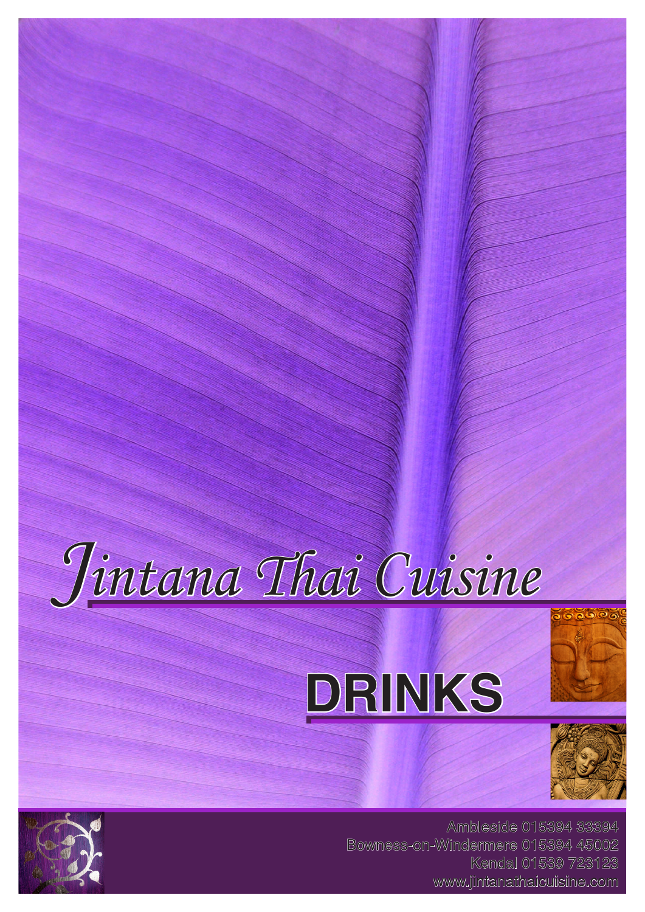







Ambleside 015394 33394 Bowness-on-Windermere 015394 45002 Kendal 01539 723123 www.jintanathaicuisine.com

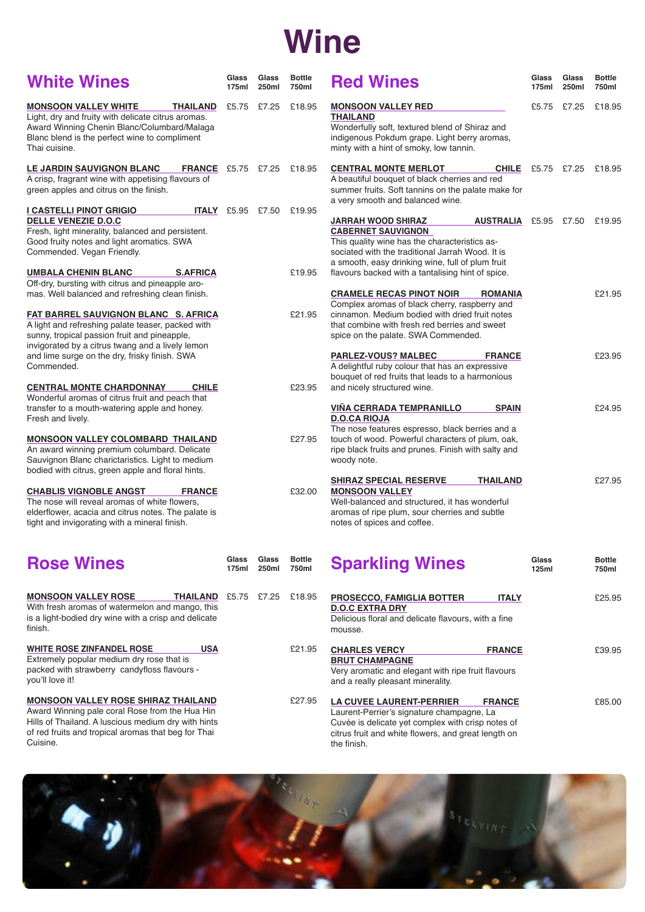# **Wine**

| <b>White Wines</b>                                                                                                                                                                                                                                                                                 | Glass<br>175ml                  | Glass<br>250ml | <b>Bottle</b><br>750ml | <b>Red Wines</b>                                                                                                                                                                                                                                                                                     | Glass<br>175ml | Glass<br>250ml | <b>Bottle</b><br>750ml |
|----------------------------------------------------------------------------------------------------------------------------------------------------------------------------------------------------------------------------------------------------------------------------------------------------|---------------------------------|----------------|------------------------|------------------------------------------------------------------------------------------------------------------------------------------------------------------------------------------------------------------------------------------------------------------------------------------------------|----------------|----------------|------------------------|
| <b>MONSOON VALLEY WHITE</b><br>THAILAND<br>Light, dry and fruity with delicate citrus aromas.<br>Award Winning Chenin Blanc/Columbard/Malaga<br>Blanc blend is the perfect wine to compliment<br>Thai cuisine.                                                                                     | £5.75 £7.25                     |                | £18.95                 | <b>MONSOON VALLEY RED</b><br><b>THAILAND</b><br>Wonderfully soft, textured blend of Shiraz and<br>indigenous Pokdum grape. Light berry aromas,<br>minty with a hint of smoky, low tannin.                                                                                                            | £5.75 £7.25    |                | £18.95                 |
| <b>LE JARDIN SAUVIGNON BLANC</b><br><b>FRANCE</b> £5.75 £7.25<br>A crisp, fragrant wine with appetising flavours of<br>green apples and citrus on the finish.                                                                                                                                      |                                 |                | £18.95                 | <b>CENTRAL MONTE MERLOT</b><br><b>CHILE</b><br>A beautiful bouquet of black cherries and red<br>summer fruits. Soft tannins on the palate make for<br>a very smooth and balanced wine.                                                                                                               | £5.75 £7.25    |                | £18.95                 |
| <b>I CASTELLI PINOT GRIGIO</b><br><b>DELLE VENEZIE D.O.C</b><br>Fresh, light minerality, balanced and persistent.<br>Good fruity notes and light aromatics. SWA<br>Commended. Vegan Friendly.<br><b>UMBALA CHENIN BLANC</b><br><b>S.AFRICA</b><br>Off-dry, bursting with citrus and pineapple aro- | <b>ITALY</b> £5.95 £7.50 £19.95 |                | £19.95                 | <b>JARRAH WOOD SHIRAZ</b><br><b>AUSTRALIA</b> £5.95 £7.50<br><b>CABERNET SAUVIGNON</b><br>This quality wine has the characteristics as-<br>sociated with the traditional Jarrah Wood. It is<br>a smooth, easy drinking wine, full of plum fruit<br>flavours backed with a tantalising hint of spice. |                |                | £19.95                 |
| mas. Well balanced and refreshing clean finish.<br><b>FAT BARREL SAUVIGNON BLANC S. AFRICA</b><br>A light and refreshing palate teaser, packed with<br>sunny, tropical passion fruit and pineapple,<br>invigorated by a citrus twang and a lively lemon                                            |                                 |                | £21.95                 | <b>CRAMELE RECAS PINOT NOIR</b><br><b>ROMANIA</b><br>Complex aromas of black cherry, raspberry and<br>cinnamon. Medium bodied with dried fruit notes<br>that combine with fresh red berries and sweet<br>spice on the palate. SWA Commended.                                                         |                |                | £21.95                 |
| and lime surge on the dry, frisky finish. SWA<br>Commended.<br><b>CHILE</b><br><b>CENTRAL MONTE CHARDONNAY</b>                                                                                                                                                                                     |                                 |                | £23.95                 | <b>PARLEZ-VOUS? MALBEC</b><br><b>FRANCE</b><br>A delightful ruby colour that has an expressive<br>bouquet of red fruits that leads to a harmonious<br>and nicely structured wine.                                                                                                                    |                |                | £23.95                 |
| Wonderful aromas of citrus fruit and peach that<br>transfer to a mouth-watering apple and honey.<br>Fresh and lively.<br><b>MONSOON VALLEY COLOMBARD THAILAND</b><br>An award winning premium columbard. Delicate<br>Sauvignon Blanc charictaristics. Light to medium                              |                                 |                | £27.95                 | <b>VIÑA CERRADA TEMPRANILLO</b><br><b>SPAIN</b><br><b>D.O.CA RIOJA</b><br>The nose features espresso, black berries and a<br>touch of wood. Powerful characters of plum, oak,<br>ripe black fruits and prunes. Finish with salty and<br>woody note.                                                  |                |                | £24.95                 |
| bodied with citrus, green apple and floral hints.<br><b>CHABLIS VIGNOBLE ANGST</b><br><b>FRANCE</b><br>The nose will reveal aromas of white flowers,<br>elderflower, acacia and citrus notes. The palate is<br>tight and invigorating with a mineral finish.                                       |                                 |                | £32.00                 | <b>SHIRAZ SPECIAL RESERVE</b><br><b>THAILAND</b><br><b>MONSOON VALLEY</b><br>Well-balanced and structured, it has wonderful<br>aromas of ripe plum, sour cherries and subtle<br>notes of spices and coffee.                                                                                          |                |                | £27.95                 |
| <b>Rose Wines</b>                                                                                                                                                                                                                                                                                  | Glass<br>175ml                  | Glass<br>250ml | <b>Bottle</b><br>750ml | <b>Sparkling Wines</b>                                                                                                                                                                                                                                                                               | Glass<br>125ml |                | <b>Bottle</b><br>750ml |
| <b>MONSOON VALLEY ROSE</b><br><b>THAILAND</b> £5.75 £7.25<br>With fresh aromas of watermelon and mango, this<br>is a light-bodied dry wine with a crisp and delicate<br>finish.                                                                                                                    |                                 |                | £18.95                 | <b>PROSECCO, FAMIGLIA BOTTER</b><br><b>ITALY</b><br><b>D.O.C EXTRA DRY</b><br>Delicious floral and delicate flavours, with a fine<br>mousse.                                                                                                                                                         |                |                | £25.95                 |
| <b>USA</b><br><b>WHITE ROSE ZINFANDEL ROSE</b><br>Extremely popular medium dry rose that is<br>packed with strawberry candyfloss flavours -<br>you'll love it!                                                                                                                                     |                                 |                | £21.95                 | <b>CHARLES VERCY</b><br><b>FRANCE</b><br><b>BRUT CHAMPAGNE</b><br>Very aromatic and elegant with ripe fruit flavours<br>and a really pleasant minerality.                                                                                                                                            |                |                | £39.95                 |
| <b>MONSOON VALLEY ROSE SHIRAZ THAILAND</b><br>Award Winning pale coral Rose from the Hua Hin<br>Hills of Thailand. A luscious medium dry with hints<br>of red fruits and tropical aromas that beg for Thai<br>Cuisine.                                                                             |                                 |                | £27.95                 | <b>LA CUVEE LAURENT-PERRIER</b><br><b>FRANCE</b><br>Laurent-Perrier's signature champagne, La<br>Cuvée is delicate yet complex with crisp notes of<br>citrus fruit and white flowers, and great length on<br>the finish.                                                                             |                |                | £85.00                 |

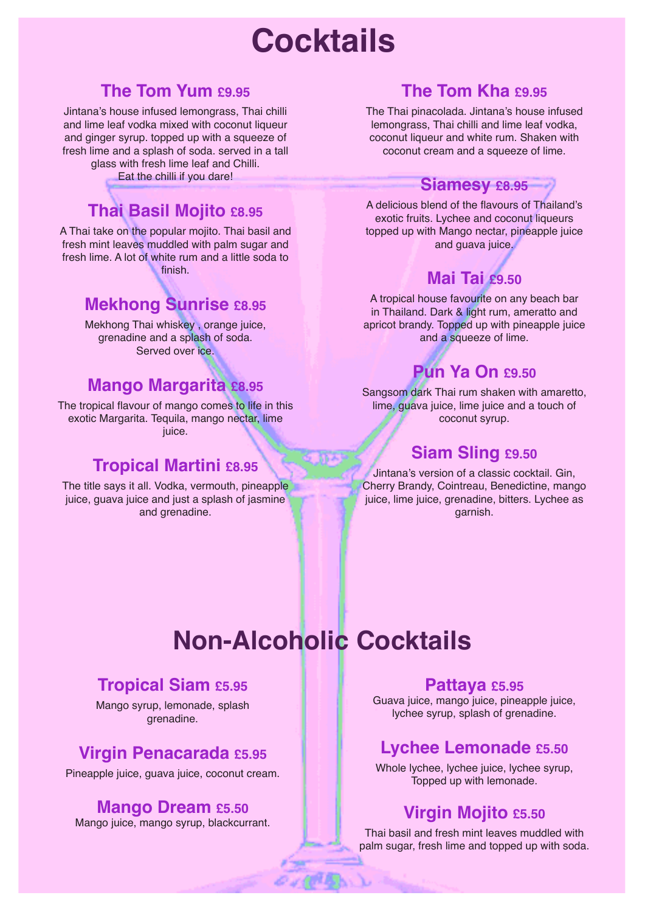# **Cocktails**

## **The Tom Yum £9.95**

Jintana's house infused lemongrass, Thai chilli and lime leaf vodka mixed with coconut liqueur and ginger syrup. topped up with a squeeze of fresh lime and a splash of soda. served in a tall glass with fresh lime leaf and Chilli. Eat the chilli if you dare!

## **Thai Basil Mojito £8.95**

A Thai take on the popular mojito. Thai basil and fresh mint leaves muddled with palm sugar and fresh lime. A lot of white rum and a little soda to finish.

# **Mekhong Sunrise £8.95**

Mekhong Thai whiskey , orange juice, grenadine and a splash of soda. Served over ice.

### **Mango Margarita £8.95**

The tropical flavour of mango comes to life in this exotic Margarita. Tequila, mango nectar, lime juice.

# **Tropical Martini £8.95**

The title says it all. Vodka, vermouth, pineapple juice, guava juice and just a splash of jasmine and grenadine.

# **The Tom Kha sags**

The Thai pinacolada. Jintana's house infused lemongrass, Thai chilli and lime leaf vodka, coconut liqueur and white rum. Shaken with coconut cream and a squeeze of lime.

#### **Siamesy £8.95**

A delicious blend of the flavours of Thailand's exotic fruits. Lychee and coconut liqueurs topped up with Mango nectar, pineapple juice and guava juice.

# **Mai Tai £9.50**

A tropical house favourite on any beach bar in Thailand. Dark & light rum, ameratto and apricot brandy. Topped up with pineapple juice and a squeeze of lime.

# **Pun Ya On £9.50**

Sangsom dark Thai rum shaken with amaretto, lime, guava juice, lime juice and a touch of coconut syrup.

## **Siam Sling £9.50**

Jintana's version of a classic cocktail. Gin, Cherry Brandy, Cointreau, Benedictine, mango juice, lime juice, grenadine, bitters. Lychee as garnish.

# **Non-Alcoholic Cocktails**

### **Tropical Siam £5.95**

Mango syrup, lemonade, splash grenadine.

# **Virgin Penacarada £5.95**

Pineapple juice, guava juice, coconut cream.

#### **Mango Dream £5.50**

Mango juice, mango syrup, blackcurrant.

#### **Pattaya £5.95**

Guava juice, mango juice, pineapple juice, lychee syrup, splash of grenadine.

# **Lychee Lemonade £5.50**

Whole lychee, lychee juice, lychee syrup, Topped up with lemonade.

# **Virgin Mojito £5.50**

Thai basil and fresh mint leaves muddled with palm sugar, fresh lime and topped up with soda.